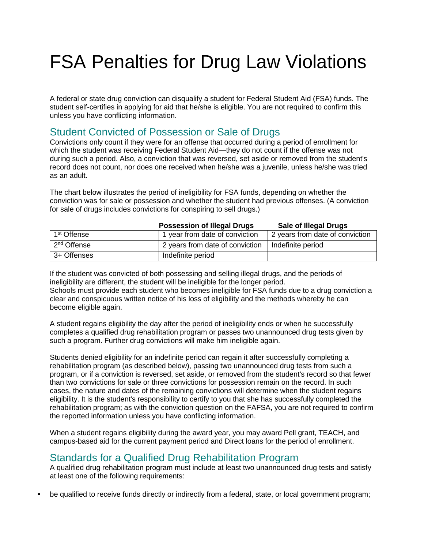## FSA Penalties for Drug Law Violations

A federal or state drug conviction can disqualify a student for Federal Student Aid (FSA) funds. The student self-certifies in applying for aid that he/she is eligible. You are not required to confirm this unless you have conflicting information.

## Student Convicted of Possession or Sale of Drugs

Convictions only count if they were for an offense that occurred during a period of enrollment for which the student was receiving Federal Student Aid—they do not count if the offense was not during such a period. Also, a conviction that was reversed, set aside or removed from the student's record does not count, nor does one received when he/she was a juvenile, unless he/she was tried as an adult.

The chart below illustrates the period of ineligibility for FSA funds, depending on whether the conviction was for sale or possession and whether the student had previous offenses. (A conviction for sale of drugs includes convictions for conspiring to sell drugs.)

|                         | <b>Possession of Illegal Drugs</b> | <b>Sale of Illegal Drugs</b>    |
|-------------------------|------------------------------------|---------------------------------|
| 1 <sup>st</sup> Offense | 1 year from date of conviction     | 2 years from date of conviction |
| 2 <sup>nd</sup> Offense | 2 years from date of conviction    | Indefinite period               |
| 3+ Offenses             | Indefinite period                  |                                 |

## If the student was convicted of both possessing and selling illegal drugs, and the periods of ineligibility are different, the student will be ineligible for the longer period.

Schools must provide each student who becomes ineligible for FSA funds due to a drug conviction a clear and conspicuous written notice of his loss of eligibility and the methods whereby he can become eligible again.

A student regains eligibility the day after the period of ineligibility ends or when he successfully completes a qualified drug rehabilitation program or passes two unannounced drug tests given by such a program. Further drug convictions will make him ineligible again.

Students denied eligibility for an indefinite period can regain it after successfully completing a rehabilitation program (as described below), passing two unannounced drug tests from such a program, or if a conviction is reversed, set aside, or removed from the student's record so that fewer than two convictions for sale or three convictions for possession remain on the record. In such cases, the nature and dates of the remaining convictions will determine when the student regains eligibility. It is the student's responsibility to certify to you that she has successfully completed the rehabilitation program; as with the conviction question on the FAFSA, you are not required to confirm the reported information unless you have conflicting information.

When a student regains eligibility during the award year, you may award Pell grant, TEACH, and campus-based aid for the current payment period and Direct loans for the period of enrollment.

## Standards for a Qualified Drug Rehabilitation Program

A qualified drug rehabilitation program must include at least two unannounced drug tests and satisfy at least one of the following requirements:

be qualified to receive funds directly or indirectly from a federal, state, or local government program;